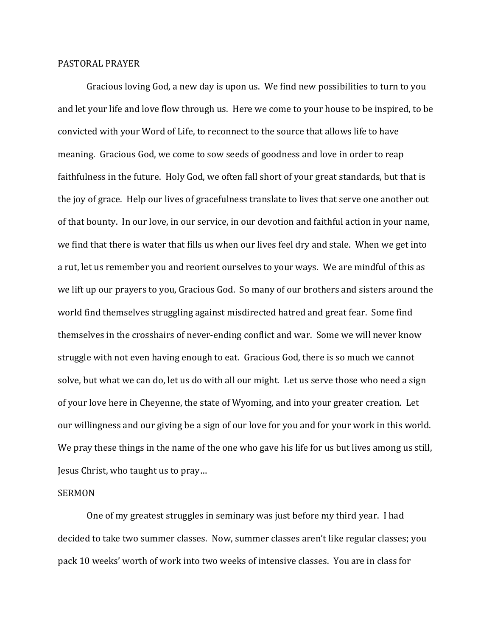## PASTORAL PRAYER

 Gracious loving God, a new day is upon us. We find new possibilities to turn to you and let your life and love flow through us. Here we come to your house to be inspired, to be convicted with your Word of Life, to reconnect to the source that allows life to have meaning. Gracious God, we come to sow seeds of goodness and love in order to reap faithfulness in the future. Holy God, we often fall short of your great standards, but that is the joy of grace. Help our lives of gracefulness translate to lives that serve one another out of that bounty. In our love, in our service, in our devotion and faithful action in your name, we find that there is water that fills us when our lives feel dry and stale. When we get into a rut, let us remember you and reorient ourselves to your ways. We are mindful of this as we lift up our prayers to you, Gracious God. So many of our brothers and sisters around the world find themselves struggling against misdirected hatred and great fear. Some find themselves in the crosshairs of never-ending conflict and war. Some we will never know struggle with not even having enough to eat. Gracious God, there is so much we cannot solve, but what we can do, let us do with all our might. Let us serve those who need a sign of your love here in Cheyenne, the state of Wyoming, and into your greater creation. Let our willingness and our giving be a sign of our love for you and for your work in this world. We pray these things in the name of the one who gave his life for us but lives among us still, Jesus Christ, who taught us to pray…

## SERMON

 One of my greatest struggles in seminary was just before my third year. I had decided to take two summer classes. Now, summer classes aren't like regular classes; you pack 10 weeks' worth of work into two weeks of intensive classes. You are in class for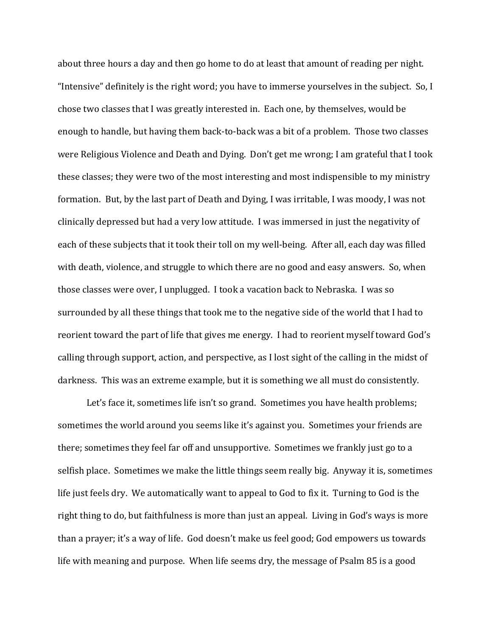about three hours a day and then go home to do at least that amount of reading per night. "Intensive" definitely is the right word; you have to immerse yourselves in the subject. So, I chose two classes that I was greatly interested in. Each one, by themselves, would be enough to handle, but having them back-to-back was a bit of a problem. Those two classes were Religious Violence and Death and Dying. Don't get me wrong; I am grateful that I took these classes; they were two of the most interesting and most indispensible to my ministry formation. But, by the last part of Death and Dying, I was irritable, I was moody, I was not clinically depressed but had a very low attitude. I was immersed in just the negativity of each of these subjects that it took their toll on my well-being. After all, each day was filled with death, violence, and struggle to which there are no good and easy answers. So, when those classes were over, I unplugged. I took a vacation back to Nebraska. I was so surrounded by all these things that took me to the negative side of the world that I had to reorient toward the part of life that gives me energy. I had to reorient myself toward God's calling through support, action, and perspective, as I lost sight of the calling in the midst of darkness. This was an extreme example, but it is something we all must do consistently.

Let's face it, sometimes life isn't so grand. Sometimes you have health problems; sometimes the world around you seems like it's against you. Sometimes your friends are there; sometimes they feel far off and unsupportive. Sometimes we frankly just go to a selfish place. Sometimes we make the little things seem really big. Anyway it is, sometimes life just feels dry. We automatically want to appeal to God to fix it. Turning to God is the right thing to do, but faithfulness is more than just an appeal. Living in God's ways is more than a prayer; it's a way of life. God doesn't make us feel good; God empowers us towards life with meaning and purpose. When life seems dry, the message of Psalm 85 is a good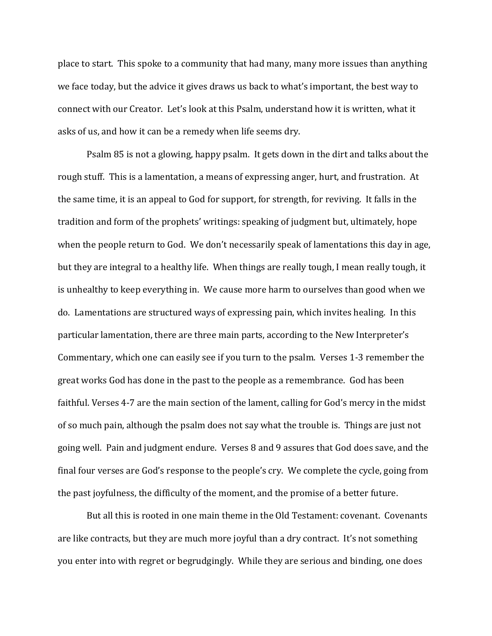place to start. This spoke to a community that had many, many more issues than anything we face today, but the advice it gives draws us back to what's important, the best way to connect with our Creator. Let's look at this Psalm, understand how it is written, what it asks of us, and how it can be a remedy when life seems dry.

 Psalm 85 is not a glowing, happy psalm. It gets down in the dirt and talks about the rough stuff. This is a lamentation, a means of expressing anger, hurt, and frustration. At the same time, it is an appeal to God for support, for strength, for reviving. It falls in the tradition and form of the prophets' writings: speaking of judgment but, ultimately, hope when the people return to God. We don't necessarily speak of lamentations this day in age, but they are integral to a healthy life. When things are really tough, I mean really tough, it is unhealthy to keep everything in. We cause more harm to ourselves than good when we do. Lamentations are structured ways of expressing pain, which invites healing. In this particular lamentation, there are three main parts, according to the New Interpreter's Commentary, which one can easily see if you turn to the psalm. Verses 1-3 remember the great works God has done in the past to the people as a remembrance. God has been faithful. Verses 4-7 are the main section of the lament, calling for God's mercy in the midst of so much pain, although the psalm does not say what the trouble is. Things are just not going well. Pain and judgment endure. Verses 8 and 9 assures that God does save, and the final four verses are God's response to the people's cry. We complete the cycle, going from the past joyfulness, the difficulty of the moment, and the promise of a better future.

 But all this is rooted in one main theme in the Old Testament: covenant. Covenants are like contracts, but they are much more joyful than a dry contract. It's not something you enter into with regret or begrudgingly. While they are serious and binding, one does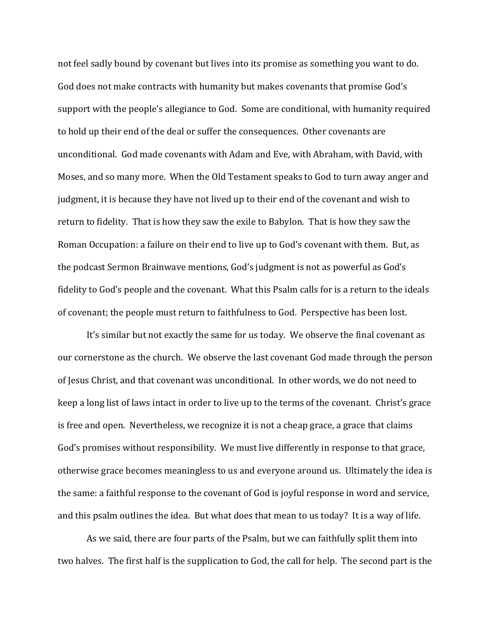not feel sadly bound by covenant but lives into its promise as something you want to do. God does not make contracts with humanity but makes covenants that promise God's support with the people's allegiance to God. Some are conditional, with humanity required to hold up their end of the deal or suffer the consequences. Other covenants are unconditional. God made covenants with Adam and Eve, with Abraham, with David, with Moses, and so many more. When the Old Testament speaks to God to turn away anger and judgment, it is because they have not lived up to their end of the covenant and wish to return to fidelity. That is how they saw the exile to Babylon. That is how they saw the Roman Occupation: a failure on their end to live up to God's covenant with them. But, as the podcast Sermon Brainwave mentions, God's judgment is not as powerful as God's fidelity to God's people and the covenant. What this Psalm calls for is a return to the ideals of covenant; the people must return to faithfulness to God. Perspective has been lost.

 It's similar but not exactly the same for us today. We observe the final covenant as our cornerstone as the church. We observe the last covenant God made through the person of Jesus Christ, and that covenant was unconditional. In other words, we do not need to keep a long list of laws intact in order to live up to the terms of the covenant. Christ's grace is free and open. Nevertheless, we recognize it is not a cheap grace, a grace that claims God's promises without responsibility. We must live differently in response to that grace, otherwise grace becomes meaningless to us and everyone around us. Ultimately the idea is the same: a faithful response to the covenant of God is joyful response in word and service, and this psalm outlines the idea. But what does that mean to us today? It is a way of life.

 As we said, there are four parts of the Psalm, but we can faithfully split them into two halves. The first half is the supplication to God, the call for help. The second part is the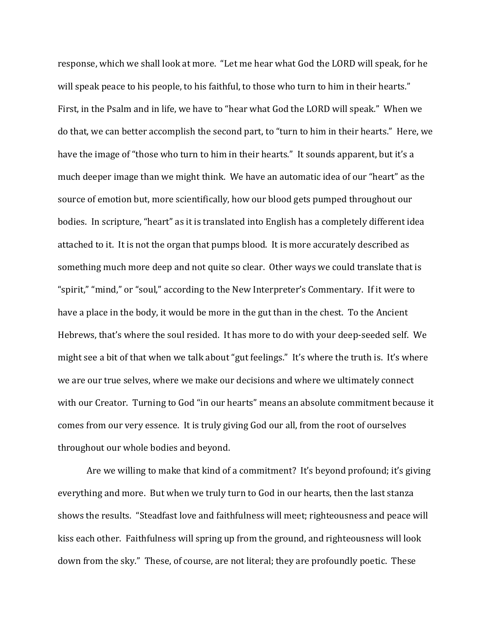response, which we shall look at more. "Let me hear what God the LORD will speak, for he will speak peace to his people, to his faithful, to those who turn to him in their hearts." First, in the Psalm and in life, we have to "hear what God the LORD will speak." When we do that, we can better accomplish the second part, to "turn to him in their hearts." Here, we have the image of "those who turn to him in their hearts." It sounds apparent, but it's a much deeper image than we might think. We have an automatic idea of our "heart" as the source of emotion but, more scientifically, how our blood gets pumped throughout our bodies. In scripture, "heart" as it is translated into English has a completely different idea attached to it. It is not the organ that pumps blood. It is more accurately described as something much more deep and not quite so clear. Other ways we could translate that is "spirit," "mind," or "soul," according to the New Interpreter's Commentary. If it were to have a place in the body, it would be more in the gut than in the chest. To the Ancient Hebrews, that's where the soul resided. It has more to do with your deep-seeded self. We might see a bit of that when we talk about "gut feelings." It's where the truth is. It's where we are our true selves, where we make our decisions and where we ultimately connect with our Creator. Turning to God "in our hearts" means an absolute commitment because it comes from our very essence. It is truly giving God our all, from the root of ourselves throughout our whole bodies and beyond.

 Are we willing to make that kind of a commitment? It's beyond profound; it's giving everything and more. But when we truly turn to God in our hearts, then the last stanza shows the results. "Steadfast love and faithfulness will meet; righteousness and peace will kiss each other. Faithfulness will spring up from the ground, and righteousness will look down from the sky." These, of course, are not literal; they are profoundly poetic. These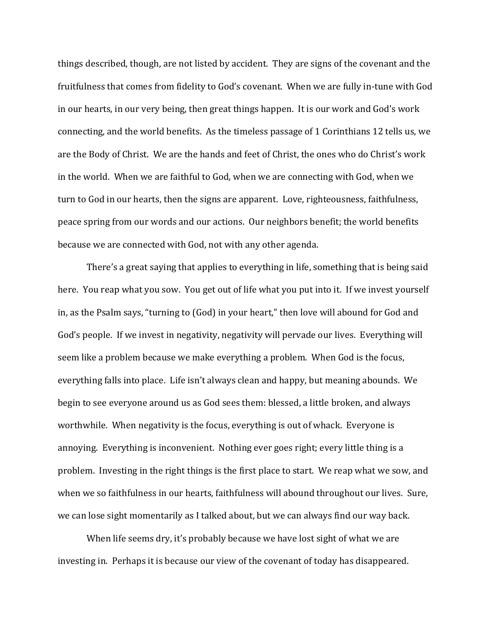things described, though, are not listed by accident. They are signs of the covenant and the fruitfulness that comes from fidelity to God's covenant. When we are fully in-tune with God in our hearts, in our very being, then great things happen. It is our work and God's work connecting, and the world benefits. As the timeless passage of 1 Corinthians 12 tells us, we are the Body of Christ. We are the hands and feet of Christ, the ones who do Christ's work in the world. When we are faithful to God, when we are connecting with God, when we turn to God in our hearts, then the signs are apparent. Love, righteousness, faithfulness, peace spring from our words and our actions. Our neighbors benefit; the world benefits because we are connected with God, not with any other agenda.

 There's a great saying that applies to everything in life, something that is being said here. You reap what you sow. You get out of life what you put into it. If we invest yourself in, as the Psalm says, "turning to (God) in your heart," then love will abound for God and God's people. If we invest in negativity, negativity will pervade our lives. Everything will seem like a problem because we make everything a problem. When God is the focus, everything falls into place. Life isn't always clean and happy, but meaning abounds. We begin to see everyone around us as God sees them: blessed, a little broken, and always worthwhile. When negativity is the focus, everything is out of whack. Everyone is annoying. Everything is inconvenient. Nothing ever goes right; every little thing is a problem. Investing in the right things is the first place to start. We reap what we sow, and when we so faithfulness in our hearts, faithfulness will abound throughout our lives. Sure, we can lose sight momentarily as I talked about, but we can always find our way back.

When life seems dry, it's probably because we have lost sight of what we are investing in. Perhaps it is because our view of the covenant of today has disappeared.